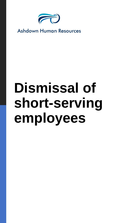

**Ashdown Human Resources** 

## **Dismissal of short-serving employees**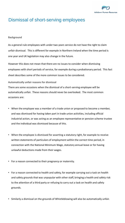

## Dismissal of short-serving employees

## **Background**

As a general rule employees with under two years service do not have the right to claim unfair dismissal. This is different for example in Northern Ireland when the time period is one year and UK legislation may also change in the future.

However this does not mean that there are no issues to consider when dismissing employees with short periods of service, for example during a probationary period. This fact sheet describes some of the more common issues to be considered.

**Automatically unfair reasons for dismissal**

There are some occasions when the dismissal of a short-serving employee will be automatically unfair. These reasons should never be overlooked. The most common occasions are:

- When the employee was a member of a trade union or proposed to become a member, and was dismissed for having taken part in trade union activities, including official industrial action, or was acting as an employee representative or pension scheme trustee and the individual was dismissed because of this.
- When the employee is dismissed for asserting a statutory right, for example to receive written statements of particulars of employment within the correct time period, in connection with the National Minimum Wage, statutory annual leave or for having unlawful deductions made from their wages.
- For a reason connected to their pregnancy or maternity.
- For a reason connected to health and safety, for example carrying out a task on health and safety grounds that was unpopular with other staff, bringing a health and safety risk to the attention of a third party or refusing to carry out a task on health and safety grounds.
- Similarly a dismissal on the grounds of Whistleblowing will also be automatically unfair.